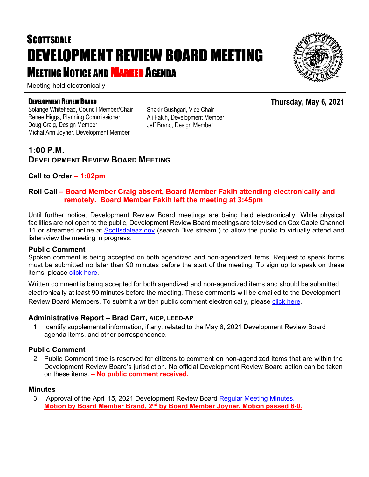# **SCOTTSDALE** DEVELOPMENT REVIEW BOARD MEETING **MEETING NOTICE AND MARKED AGENDA**

Meeting held electronically

#### DEVELOPMENT REVIEW BOARD

Solange Whitehead, Council Member/Chair Renee Higgs, Planning Commissioner Doug Craig, Design Member Michal Ann Joyner, Development Member

Shakir Gushgari, Vice Chair Ali Fakih, Development Member Jeff Brand, Design Member

### **1:00 P.M. DEVELOPMENT REVIEW BOARD MEETING**

#### **Call to Order – 1:02pm**

#### **Roll Call – Board Member Craig absent, Board Member Fakih attending electronically and remotely. Board Member Fakih left the meeting at 3:45pm**

Until further notice, Development Review Board meetings are being held electronically. While physical facilities are not open to the public, Development Review Board meetings are televised on Cox Cable Channel 11 or streamed online at [Scottsdaleaz.gov](https://www.scottsdaleaz.gov/) (search "live stream") to allow the public to virtually attend and listen/view the meeting in progress.

#### **Public Comment**

Spoken comment is being accepted on both agendized and non-agendized items. Request to speak forms must be submitted no later than 90 minutes before the start of the meeting. To sign up to speak on these items, please [click here.](https://www.scottsdaleaz.gov/boards/development-review-board/spoken-comment)

Written comment is being accepted for both agendized and non-agendized items and should be submitted electronically at least 90 minutes before the meeting. These comments will be emailed to the Development Review Board Members. To submit a written public comment electronically, please [click here.](https://www.scottsdaleaz.gov/boards/development-review-board/public-comment)

#### **Administrative Report – Brad Carr, AICP, LEED-AP**

1. Identify supplemental information, if any, related to the May 6, 2021 Development Review Board agenda items, and other correspondence.

#### **Public Comment**

2. Public Comment time is reserved for citizens to comment on non-agendized items that are within the Development Review Board's jurisdiction. No official Development Review Board action can be taken on these items. **– No public comment received.**

#### **Minutes**

3. Approval of the April 15, 2021 Development Review Board [Regular Meeting Minutes.](https://eservices.scottsdaleaz.gov/planning/projectsummary/unrelated_documents/DRB_MEETING_MINUTES_04152021.pdf) **Motion by Board Member Brand, 2nd by Board Member Joyner. Motion passed 6-0.** 

**Thursday, May 6, 2021**

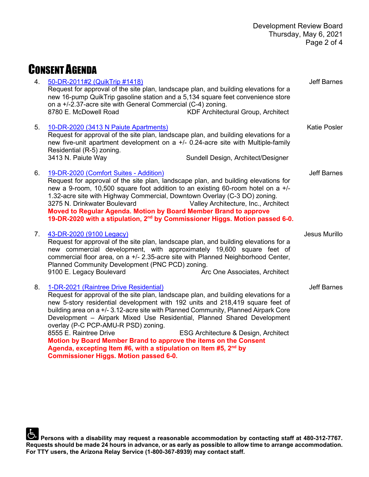CONSENT AGENDA

| 4. | 50-DR-2011#2 (QuikTrip #1418)<br>Request for approval of the site plan, landscape plan, and building elevations for a<br>new 16-pump QuikTrip gasoline station and a 5,134 square feet convenience store<br>on a +/-2.37-acre site with General Commercial (C-4) zoning.<br><b>KDF Architectural Group, Architect</b><br>8780 E. McDowell Road                                                                                                                                                                                                                                                                                                                                                 | <b>Jeff Barnes</b>  |
|----|------------------------------------------------------------------------------------------------------------------------------------------------------------------------------------------------------------------------------------------------------------------------------------------------------------------------------------------------------------------------------------------------------------------------------------------------------------------------------------------------------------------------------------------------------------------------------------------------------------------------------------------------------------------------------------------------|---------------------|
| 5. | 10-DR-2020 (3413 N Paiute Apartments)<br>Request for approval of the site plan, landscape plan, and building elevations for a<br>new five-unit apartment development on a +/- 0.24-acre site with Multiple-family<br>Residential (R-5) zoning.<br>3413 N. Paiute Way<br>Sundell Design, Architect/Designer                                                                                                                                                                                                                                                                                                                                                                                     | <b>Katie Posler</b> |
| 6. | 19-DR-2020 (Comfort Suites - Addition)<br>Request for approval of the site plan, landscape plan, and building elevations for<br>new a 9-room, 10,500 square foot addition to an existing 60-room hotel on a +/-<br>1.32-acre site with Highway Commercial, Downtown Overlay (C-3 DO) zoning.<br>3275 N. Drinkwater Boulevard<br>Valley Architecture, Inc., Architect<br>Moved to Regular Agenda. Motion by Board Member Brand to approve<br>19-DR-2020 with a stipulation, 2 <sup>nd</sup> by Commissioner Higgs. Motion passed 6-0.                                                                                                                                                           | <b>Jeff Barnes</b>  |
| 7. | 43-DR-2020 (9100 Legacy)<br>Request for approval of the site plan, landscape plan, and building elevations for a<br>new commercial development, with approximately 19,600 square feet of<br>commercial floor area, on a +/- 2.35-acre site with Planned Neighborhood Center,<br>Planned Community Development (PNC PCD) zoning.<br>9100 E. Legacy Boulevard<br>Arc One Associates, Architect                                                                                                                                                                                                                                                                                                   | Jesus Murillo       |
| 8. | 1-DR-2021 (Raintree Drive Residential)<br>Request for approval of the site plan, landscape plan, and building elevations for a<br>new 5-story residential development with 192 units and 218,419 square feet of<br>building area on a +/- 3.12-acre site with Planned Community, Planned Airpark Core<br>Development - Airpark Mixed Use Residential, Planned Shared Development<br>overlay (P-C PCP-AMU-R PSD) zoning.<br>8555 E. Raintree Drive<br>ESG Architecture & Design, Architect<br>Motion by Board Member Brand to approve the items on the Consent<br>Agenda, excepting Item #6, with a stipulation on Item #5, 2 <sup>nd</sup> by<br><b>Commissioner Higgs. Motion passed 6-0.</b> | <b>Jeff Barnes</b>  |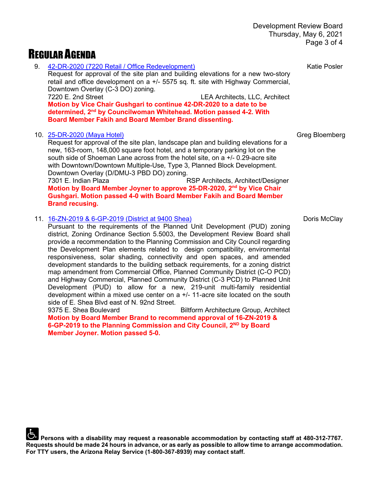## REGULAR AGENDA

9. [42-DR-2020 \(7220 Retail / Office Redevelopment\)](https://eservices.scottsdaleaz.gov/planning/projectsummary/dr_reports/DR_42_DR_2020.pdf) Request for approval of the site plan and building elevations for a new two-story retail and office development on a +/- 5575 sq. ft. site with Highway Commercial, Downtown Overlay (C-3 DO) zoning. 7220 E. 2nd Street LEA Architects, LLC, Architect **Motion by Vice Chair Gushgari to continue 42-DR-2020 to a date to be determined, 2nd by Councilwoman Whitehead. Motion passed 4-2. With Board Member Fakih and Board Member Brand dissenting.** 10. [25-DR-2020 \(Maya Hotel\)](https://eservices.scottsdaleaz.gov/planning/projectsummary/dr_reports/DR_25_DR_2020.pdf) Request for approval of the site plan, landscape plan and building elevations for a new, 163-room, 148,000 square foot hotel, and a temporary parking lot on the south side of Shoeman Lane across from the hotel site, on a +/- 0.29-acre site with Downtown/Downtown Multiple-Use, Type 3, Planned Block Development. Downtown Overlay (D/DMU-3 PBD DO) zoning.

7301 E. Indian Plaza **RSP Architects, Architect/Designer Motion by Board Member Joyner to approve 25-DR-2020, 2nd by Vice Chair Gushgari. Motion passed 4-0 with Board Member Fakih and Board Member Brand recusing.**

#### 11. [16-ZN-2019 & 6-GP-2019 \(District at 9400 Shea\)](https://eservices.scottsdaleaz.gov/planning/projectsummary/dr_reports/DR_16_ZN_2019.pdf)

Pursuant to the requirements of the Planned Unit Development (PUD) zoning district, Zoning Ordinance Section 5.5003, the Development Review Board shall provide a recommendation to the Planning Commission and City Council regarding the Development Plan elements related to design compatibility, environmental responsiveness, solar shading, connectivity and open spaces, and amended development standards to the building setback requirements, for a zoning district map amendment from Commercial Office, Planned Community District (C-O PCD) and Highway Commercial, Planned Community District (C-3 PCD) to Planned Unit Development (PUD) to allow for a new, 219-unit multi-family residential side of E. Shea Blvd east of N. 92nd Street.

9375 E. Shea Boulevard **Biltform Architecture Group, Architect Motion by Board Member Brand to recommend approval of 16-ZN-2019 & 6-GP-2019 to the Planning Commission and City Council, 2ND by Board Member Joyner. Motion passed 5-0.**

development within a mixed use center on a +/- 11-acre site located on the south

**Persons with a disability may request a reasonable accommodation by contacting staff at 480-312-7767. Requests should be made 24 hours in advance, or as early as possible to allow time to arrange accommodation. For TTY users, the Arizona Relay Service (1-800-367-8939) may contact staff.**

Katie Posler

Greg Bloemberg

Doris McClay